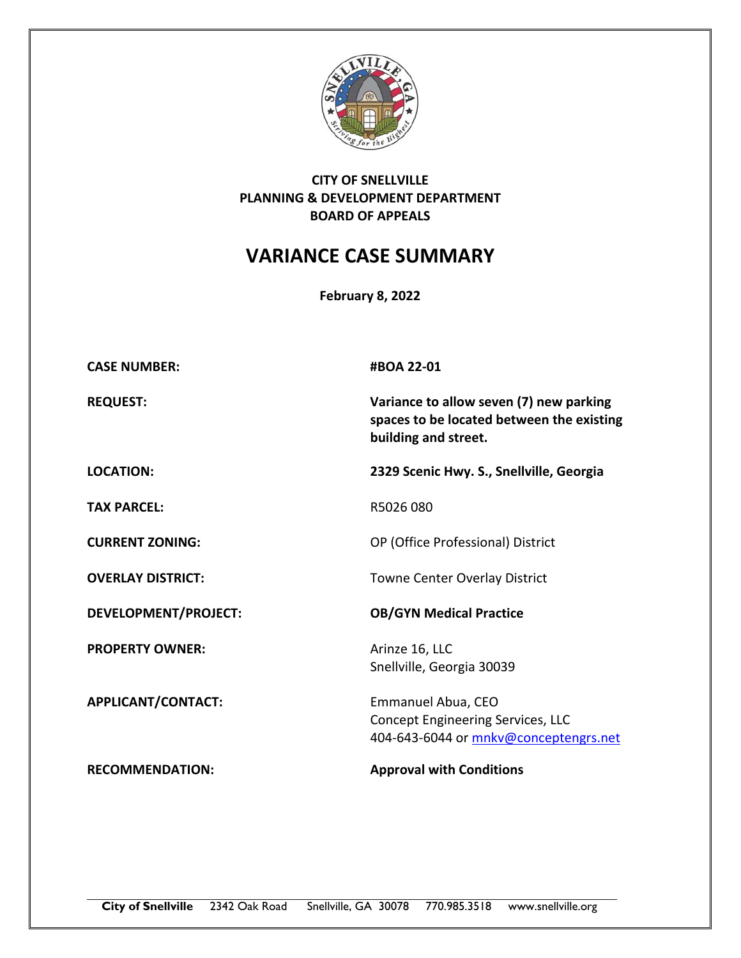

## **CITY OF SNELLVILLE PLANNING & DEVELOPMENT DEPARTMENT BOARD OF APPEALS**

## **VARIANCE CASE SUMMARY**

**February 8, 2022**

| <b>CASE NUMBER:</b>         | #BOA 22-01                                                                                                   |
|-----------------------------|--------------------------------------------------------------------------------------------------------------|
| <b>REQUEST:</b>             | Variance to allow seven (7) new parking<br>spaces to be located between the existing<br>building and street. |
| <b>LOCATION:</b>            | 2329 Scenic Hwy. S., Snellville, Georgia                                                                     |
| <b>TAX PARCEL:</b>          | R5026 080                                                                                                    |
| <b>CURRENT ZONING:</b>      | OP (Office Professional) District                                                                            |
| <b>OVERLAY DISTRICT:</b>    | <b>Towne Center Overlay District</b>                                                                         |
| <b>DEVELOPMENT/PROJECT:</b> | <b>OB/GYN Medical Practice</b>                                                                               |
| <b>PROPERTY OWNER:</b>      | Arinze 16, LLC<br>Snellville, Georgia 30039                                                                  |
| APPLICANT/CONTACT:          | Emmanuel Abua, CEO<br>Concept Engineering Services, LLC<br>404-643-6044 or mnkv@conceptengrs.net             |
| <b>RECOMMENDATION:</b>      | <b>Approval with Conditions</b>                                                                              |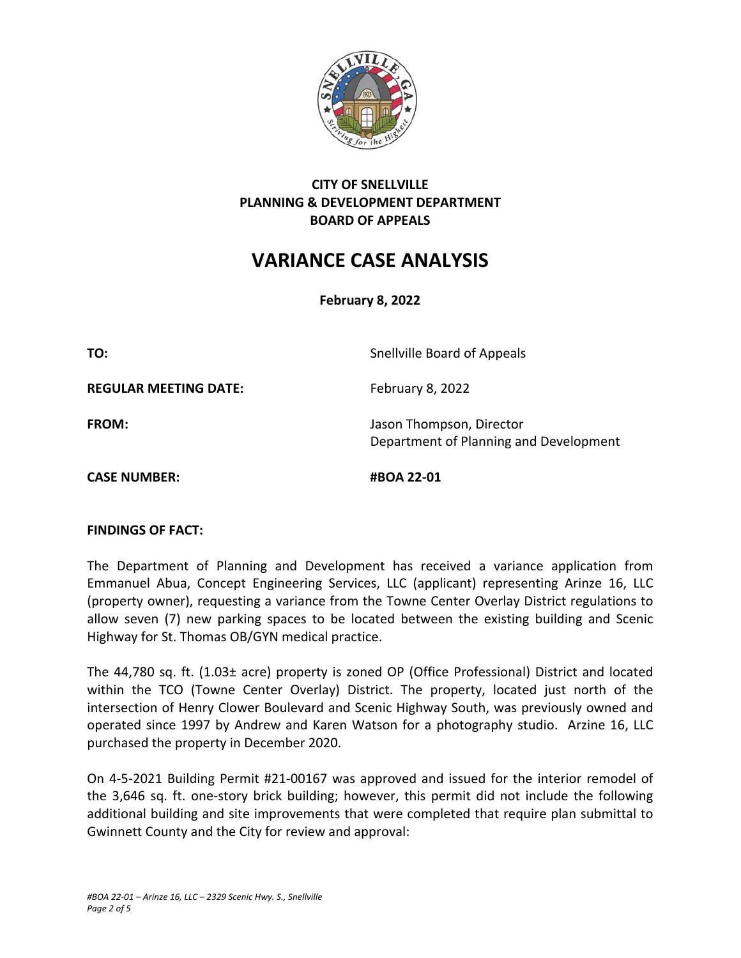

## **CITY OF SNELLVILLE PLANNING & DEVELOPMENT DEPARTMENT BOARD OF APPEALS**

# **VARIANCE CASE ANALYSIS**

**February 8, 2022**

**TO:** Snellville Board of Appeals **REGULAR MEETING DATE:** February 8, 2022 **FROM: In the U.S. Islaming The U.S. Propose** Jason Thompson, Director Department of Planning and Development **CASE NUMBER:** #BOA 22-01

#### **FINDINGS OF FACT:**

The Department of Planning and Development has received a variance application from Emmanuel Abua, Concept Engineering Services, LLC (applicant) representing Arinze 16, LLC (property owner), requesting a variance from the Towne Center Overlay District regulations to allow seven (7) new parking spaces to be located between the existing building and Scenic Highway for St. Thomas OB/GYN medical practice.

The 44,780 sq. ft. (1.03± acre) property is zoned OP (Office Professional) District and located within the TCO (Towne Center Overlay) District. The property, located just north of the intersection of Henry Clower Boulevard and Scenic Highway South, was previously owned and operated since 1997 by Andrew and Karen Watson for a photography studio. Arzine 16, LLC purchased the property in December 2020.

On 4‐5‐2021 Building Permit #21‐00167 was approved and issued for the interior remodel of the 3,646 sq. ft. one‐story brick building; however, this permit did not include the following additional building and site improvements that were completed that require plan submittal to Gwinnett County and the City for review and approval: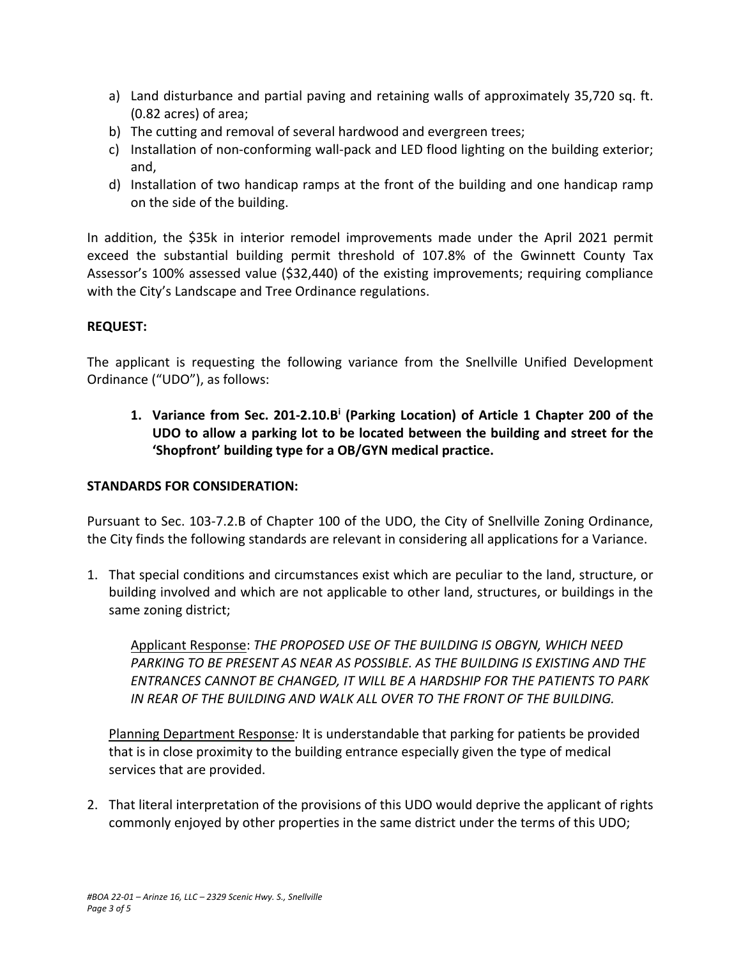- a) Land disturbance and partial paving and retaining walls of approximately 35,720 sq. ft. (0.82 acres) of area;
- b) The cutting and removal of several hardwood and evergreen trees;
- c) Installation of non‐conforming wall‐pack and LED flood lighting on the building exterior; and,
- d) Installation of two handicap ramps at the front of the building and one handicap ramp on the side of the building.

In addition, the \$35k in interior remodel improvements made under the April 2021 permit exceed the substantial building permit threshold of 107.8% of the Gwinnett County Tax Assessor's 100% assessed value (\$32,440) of the existing improvements; requiring compliance with the City's Landscape and Tree Ordinance regulations.

## **REQUEST:**

The applicant is requesting the following variance from the Snellville Unified Development Ordinance ("UDO"), as follows:

1. Variance from Sec. 201-2.10.B<sup>i</sup> (Parking Location) of Article 1 Chapter 200 of the **UDO to allow a parking lot to be located between the building and street for the 'Shopfront' building type for a OB/GYN medical practice.** 

## **STANDARDS FOR CONSIDERATION:**

Pursuant to Sec. 103-7.2.B of Chapter 100 of the UDO, the City of Snellville Zoning Ordinance, the City finds the following standards are relevant in considering all applications for a Variance.

1. That special conditions and circumstances exist which are peculiar to the land, structure, or building involved and which are not applicable to other land, structures, or buildings in the same zoning district;

Applicant Response: *THE PROPOSED USE OF THE BUILDING IS OBGYN, WHICH NEED PARKING TO BE PRESENT AS NEAR AS POSSIBLE. AS THE BUILDING IS EXISTING AND THE ENTRANCES CANNOT BE CHANGED, IT WILL BE A HARDSHIP FOR THE PATIENTS TO PARK IN REAR OF THE BUILDING AND WALK ALL OVER TO THE FRONT OF THE BUILDING.* 

Planning Department Response*:* It is understandable that parking for patients be provided that is in close proximity to the building entrance especially given the type of medical services that are provided.

2. That literal interpretation of the provisions of this UDO would deprive the applicant of rights commonly enjoyed by other properties in the same district under the terms of this UDO;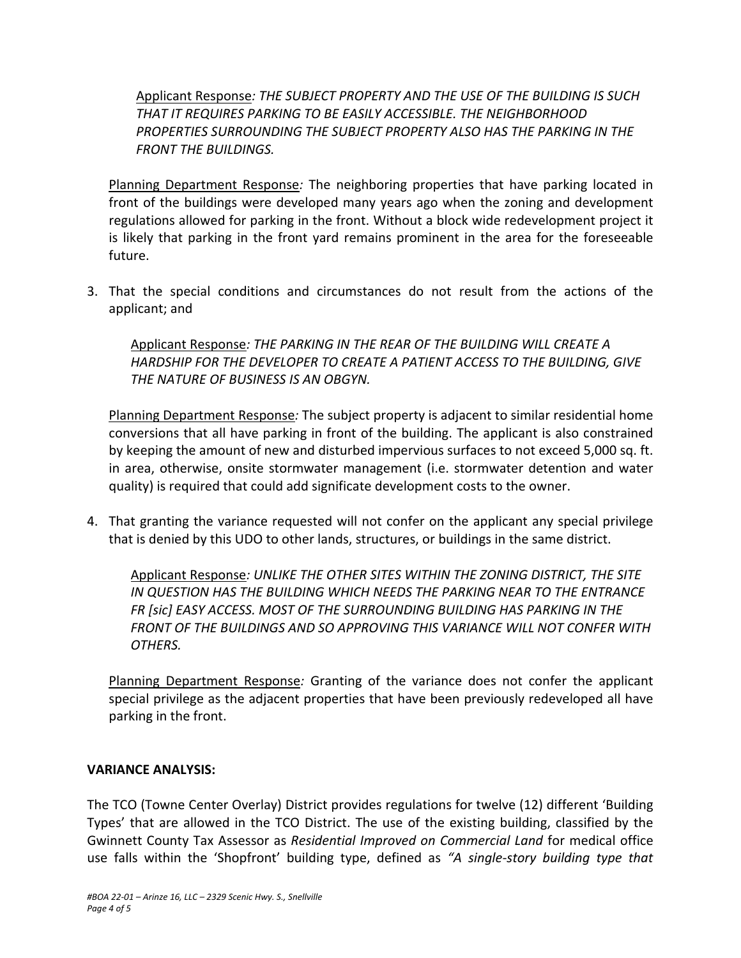Applicant Response*: THE SUBJECT PROPERTY AND THE USE OF THE BUILDING IS SUCH THAT IT REQUIRES PARKING TO BE EASILY ACCESSIBLE. THE NEIGHBORHOOD PROPERTIES SURROUNDING THE SUBJECT PROPERTY ALSO HAS THE PARKING IN THE FRONT THE BUILDINGS.* 

Planning Department Response*:* The neighboring properties that have parking located in front of the buildings were developed many years ago when the zoning and development regulations allowed for parking in the front. Without a block wide redevelopment project it is likely that parking in the front yard remains prominent in the area for the foreseeable future.

3. That the special conditions and circumstances do not result from the actions of the applicant; and

Applicant Response*: THE PARKING IN THE REAR OF THE BUILDING WILL CREATE A HARDSHIP FOR THE DEVELOPER TO CREATE A PATIENT ACCESS TO THE BUILDING, GIVE THE NATURE OF BUSINESS IS AN OBGYN.* 

Planning Department Response*:* The subject property is adjacent to similar residential home conversions that all have parking in front of the building. The applicant is also constrained by keeping the amount of new and disturbed impervious surfaces to not exceed 5,000 sq. ft. in area, otherwise, onsite stormwater management (i.e. stormwater detention and water quality) is required that could add significate development costs to the owner.

4. That granting the variance requested will not confer on the applicant any special privilege that is denied by this UDO to other lands, structures, or buildings in the same district.

Applicant Response*: UNLIKE THE OTHER SITES WITHIN THE ZONING DISTRICT, THE SITE IN QUESTION HAS THE BUILDING WHICH NEEDS THE PARKING NEAR TO THE ENTRANCE FR [sic] EASY ACCESS. MOST OF THE SURROUNDING BUILDING HAS PARKING IN THE FRONT OF THE BUILDINGS AND SO APPROVING THIS VARIANCE WILL NOT CONFER WITH OTHERS.* 

Planning Department Response: Granting of the variance does not confer the applicant special privilege as the adjacent properties that have been previously redeveloped all have parking in the front.

#### **VARIANCE ANALYSIS:**

The TCO (Towne Center Overlay) District provides regulations for twelve (12) different 'Building Types' that are allowed in the TCO District. The use of the existing building, classified by the Gwinnett County Tax Assessor as *Residential Improved on Commercial Land* for medical office use falls within the 'Shopfront' building type, defined as *"A single‐story building type that*